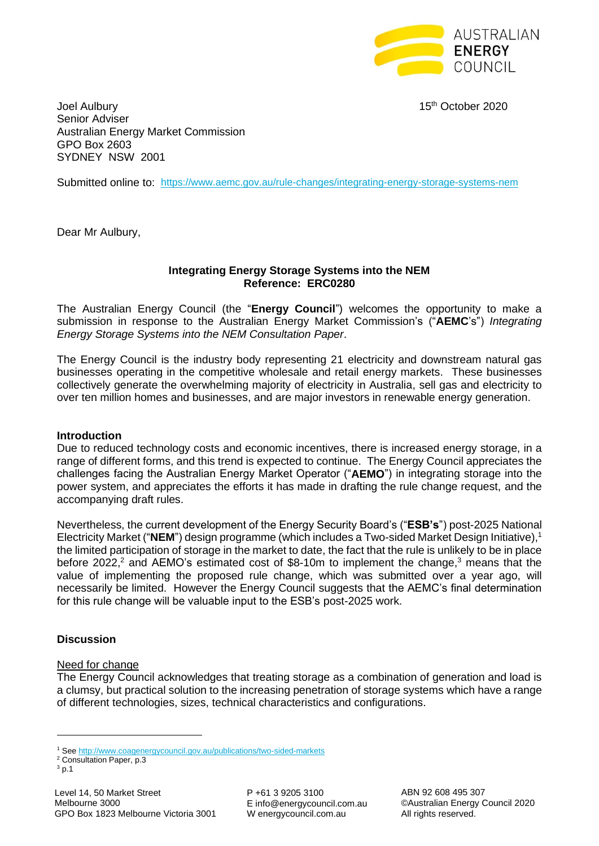

Joel Aulbury 15th October 2020 Senior Adviser Australian Energy Market Commission GPO Box 2603 SYDNEY NSW 2001

Submitted online to: <https://www.aemc.gov.au/rule-changes/integrating-energy-storage-systems-nem>

Dear Mr Aulbury,

### **Integrating Energy Storage Systems into the NEM Reference: ERC0280**

The Australian Energy Council (the "**Energy Council**") welcomes the opportunity to make a submission in response to the Australian Energy Market Commission's ("**AEMC**'s") *Integrating Energy Storage Systems into the NEM Consultation Paper*.

The Energy Council is the industry body representing 21 electricity and downstream natural gas businesses operating in the competitive wholesale and retail energy markets. These businesses collectively generate the overwhelming majority of electricity in Australia, sell gas and electricity to over ten million homes and businesses, and are major investors in renewable energy generation.

#### **Introduction**

Due to reduced technology costs and economic incentives, there is increased energy storage, in a range of different forms, and this trend is expected to continue. The Energy Council appreciates the challenges facing the Australian Energy Market Operator ("**AEMO**") in integrating storage into the power system, and appreciates the efforts it has made in drafting the rule change request, and the accompanying draft rules.

Nevertheless, the current development of the Energy Security Board's ("**ESB's**") post-2025 National Electricity Market ("NEM") design programme (which includes a Two-sided Market Design Initiative),<sup>1</sup> the limited participation of storage in the market to date, the fact that the rule is unlikely to be in place before 2022,<sup>2</sup> and AEMO's estimated cost of \$8-10m to implement the change,<sup>3</sup> means that the value of implementing the proposed rule change, which was submitted over a year ago, will necessarily be limited. However the Energy Council suggests that the AEMC's final determination for this rule change will be valuable input to the ESB's post-2025 work.

#### **Discussion**

#### Need for change

The Energy Council acknowledges that treating storage as a combination of generation and load is a clumsy, but practical solution to the increasing penetration of storage systems which have a range of different technologies, sizes, technical characteristics and configurations.

<sup>1</sup> See<http://www.coagenergycouncil.gov.au/publications/two-sided-markets>

<sup>2</sup> Consultation Paper, p.3

<sup>3</sup> p.1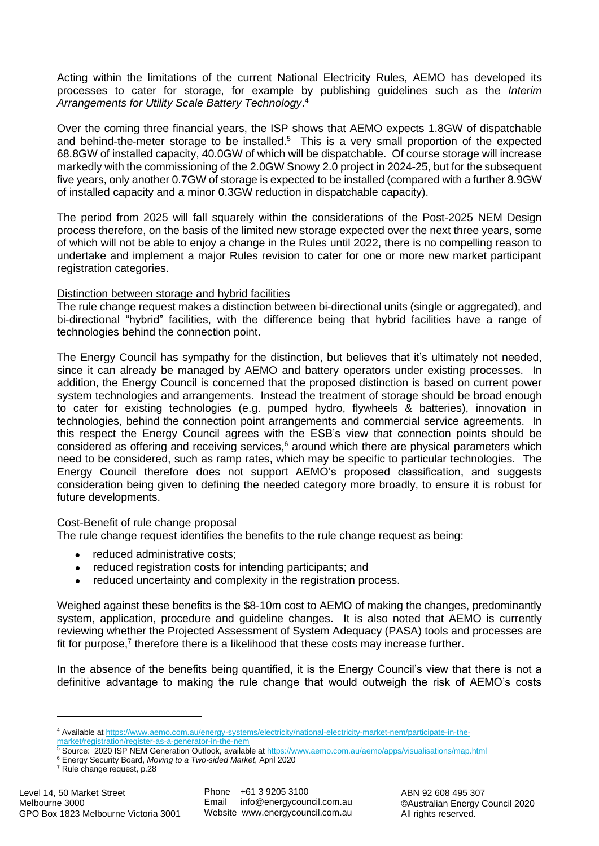Acting within the limitations of the current National Electricity Rules, AEMO has developed its processes to cater for storage, for example by publishing guidelines such as the *Interim Arrangements for Utility Scale Battery Technology*. 4

Over the coming three financial years, the ISP shows that AEMO expects 1.8GW of dispatchable and behind-the-meter storage to be installed.<sup>5</sup> This is a very small proportion of the expected 68.8GW of installed capacity, 40.0GW of which will be dispatchable. Of course storage will increase markedly with the commissioning of the 2.0GW Snowy 2.0 project in 2024-25, but for the subsequent five years, only another 0.7GW of storage is expected to be installed (compared with a further 8.9GW of installed capacity and a minor 0.3GW reduction in dispatchable capacity).

The period from 2025 will fall squarely within the considerations of the Post-2025 NEM Design process therefore, on the basis of the limited new storage expected over the next three years, some of which will not be able to enjoy a change in the Rules until 2022, there is no compelling reason to undertake and implement a major Rules revision to cater for one or more new market participant registration categories.

### Distinction between storage and hybrid facilities

The rule change request makes a distinction between bi-directional units (single or aggregated), and bi-directional "hybrid" facilities, with the difference being that hybrid facilities have a range of technologies behind the connection point.

The Energy Council has sympathy for the distinction, but believes that it's ultimately not needed, since it can already be managed by AEMO and battery operators under existing processes. In addition, the Energy Council is concerned that the proposed distinction is based on current power system technologies and arrangements. Instead the treatment of storage should be broad enough to cater for existing technologies (e.g. pumped hydro, flywheels & batteries), innovation in technologies, behind the connection point arrangements and commercial service agreements. In this respect the Energy Council agrees with the ESB's view that connection points should be considered as offering and receiving services, $6$  around which there are physical parameters which need to be considered, such as ramp rates, which may be specific to particular technologies. The Energy Council therefore does not support AEMO's proposed classification, and suggests consideration being given to defining the needed category more broadly, to ensure it is robust for future developments.

### Cost-Benefit of rule change proposal

The rule change request identifies the benefits to the rule change request as being:

- reduced administrative costs;
- reduced registration costs for intending participants; and
- reduced uncertainty and complexity in the registration process.

Weighed against these benefits is the \$8-10m cost to AEMO of making the changes, predominantly system, application, procedure and guideline changes. It is also noted that AEMO is currently reviewing whether the Projected Assessment of System Adequacy (PASA) tools and processes are fit for purpose,<sup>7</sup> therefore there is a likelihood that these costs may increase further.

In the absence of the benefits being quantified, it is the Energy Council's view that there is not a definitive advantage to making the rule change that would outweigh the risk of AEMO's costs

<sup>4</sup> Available a[t https://www.aemo.com.au/energy-systems/electricity/national-electricity-market-nem/participate-in-the](https://www.aemo.com.au/energy-systems/electricity/national-electricity-market-nem/participate-in-the-market/registration/register-as-a-generator-in-the-nem)[market/registration/register-as-a-generator-in-the-nem](https://www.aemo.com.au/energy-systems/electricity/national-electricity-market-nem/participate-in-the-market/registration/register-as-a-generator-in-the-nem)

<sup>5</sup> Source: 2020 ISP NEM Generation Outlook, available a[t https://www.aemo.com.au/aemo/apps/visualisations/map.html](https://www.aemo.com.au/aemo/apps/visualisations/map.html)

<sup>6</sup> Energy Security Board, *Moving to a Two-sided Market*, April 2020

<sup>7</sup> Rule change request, p.28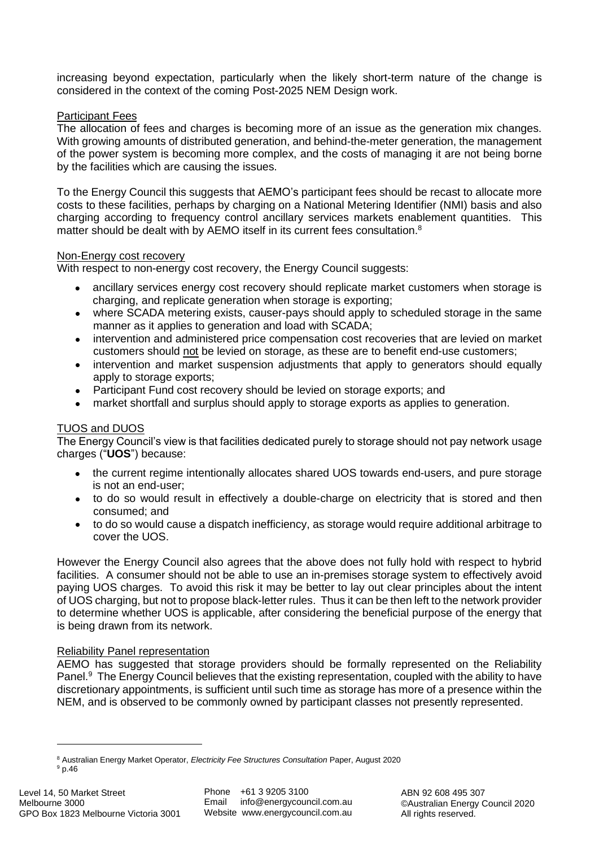increasing beyond expectation, particularly when the likely short-term nature of the change is considered in the context of the coming Post-2025 NEM Design work.

### Participant Fees

The allocation of fees and charges is becoming more of an issue as the generation mix changes. With growing amounts of distributed generation, and behind-the-meter generation, the management of the power system is becoming more complex, and the costs of managing it are not being borne by the facilities which are causing the issues.

To the Energy Council this suggests that AEMO's participant fees should be recast to allocate more costs to these facilities, perhaps by charging on a National Metering Identifier (NMI) basis and also charging according to frequency control ancillary services markets enablement quantities. This matter should be dealt with by AEMO itself in its current fees consultation.<sup>8</sup>

### Non-Energy cost recovery

With respect to non-energy cost recovery, the Energy Council suggests:

- ancillary services energy cost recovery should replicate market customers when storage is charging, and replicate generation when storage is exporting;
- where SCADA metering exists, causer-pays should apply to scheduled storage in the same manner as it applies to generation and load with SCADA;
- intervention and administered price compensation cost recoveries that are levied on market customers should not be levied on storage, as these are to benefit end-use customers;
- intervention and market suspension adjustments that apply to generators should equally apply to storage exports;
- Participant Fund cost recovery should be levied on storage exports; and
- market shortfall and surplus should apply to storage exports as applies to generation.

# TUOS and DUOS

The Energy Council's view is that facilities dedicated purely to storage should not pay network usage charges ("**UOS**") because:

- the current regime intentionally allocates shared UOS towards end-users, and pure storage is not an end-user;
- to do so would result in effectively a double-charge on electricity that is stored and then consumed; and
- to do so would cause a dispatch inefficiency, as storage would require additional arbitrage to cover the UOS.

However the Energy Council also agrees that the above does not fully hold with respect to hybrid facilities. A consumer should not be able to use an in-premises storage system to effectively avoid paying UOS charges. To avoid this risk it may be better to lay out clear principles about the intent of UOS charging, but not to propose black-letter rules. Thus it can be then left to the network provider to determine whether UOS is applicable, after considering the beneficial purpose of the energy that is being drawn from its network.

### Reliability Panel representation

AEMO has suggested that storage providers should be formally represented on the Reliability Panel.<sup>9</sup> The Energy Council believes that the existing representation, coupled with the ability to have discretionary appointments, is sufficient until such time as storage has more of a presence within the NEM, and is observed to be commonly owned by participant classes not presently represented.

<sup>8</sup> Australian Energy Market Operator, *Electricity Fee Structures Consultation* Paper, August 2020 <sup>9</sup> p.46